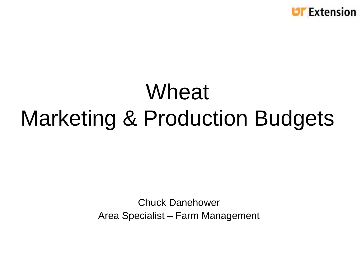

## Wheat Marketing & Production Budgets

Chuck Danehower Area Specialist – Farm Management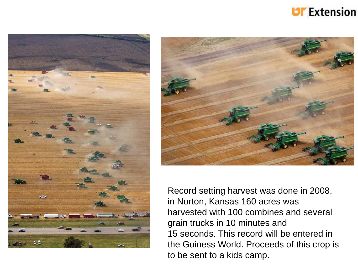





Record setting harvest was done in 2008, in Norton, Kansas 160 acres was harvested with 100 combines and several grain trucks in 10 minutes and 15 seconds. This record will be entered in the Guiness World. Proceeds of this crop is to be sent to a kids camp.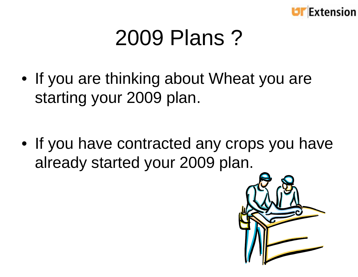

### 2009 Plans ?

• If you are thinking about Wheat you are starting your 2009 plan.

• If you have contracted any crops you have already started your 2009 plan.

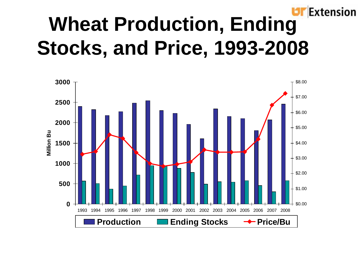#### **Extension Wheat Production, Ending Stocks, and Price, 1993-2008**

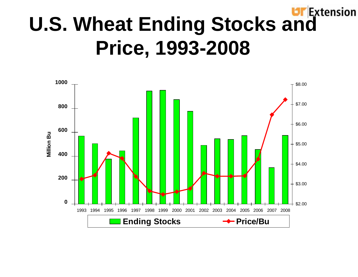#### Extension **U.S. Wheat Ending Stocks and Price, 1993-2008**

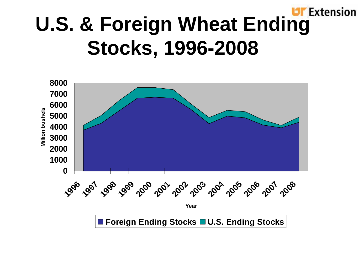#### **Extension U.S. & Foreign Wheat Ending Stocks, 1996-2008**

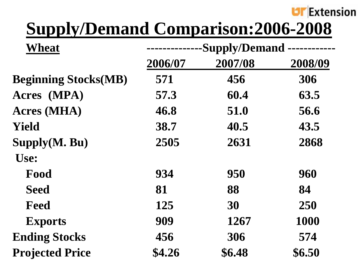

### **Supp y p l /Demand Comparison:2006-2008**

| Wheat                       | -Supply/Demand |         |         |
|-----------------------------|----------------|---------|---------|
|                             | 2006/07        | 2007/08 | 2008/09 |
| <b>Beginning Stocks(MB)</b> | 571            | 456     | 306     |
| Acres (MPA)                 | 57.3           | 60.4    | 63.5    |
| <b>Acres (MHA)</b>          | 46.8           | 51.0    | 56.6    |
| Yield                       | 38.7           | 40.5    | 43.5    |
| Supply(M. Bu)               | 2505           | 2631    | 2868    |
| Use:                        |                |         |         |
| Food                        | 934            | 950     | 960     |
| <b>Seed</b>                 | 81             | 88      | 84      |
| Feed                        | 125            | 30      | 250     |
| <b>Exports</b>              | 909            | 1267    | 1000    |
| <b>Ending Stocks</b>        | 456            | 306     | 574     |
| <b>Projected Price</b>      | \$4.26         | \$6.48  | \$6.50  |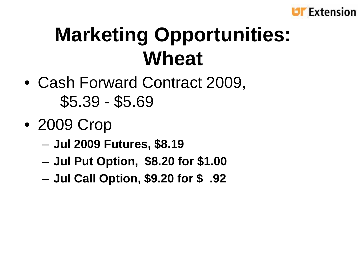

### **Marketing Opportunities: Wheat**

- Cash Forward Contract 2009,  $$5.39 - $5.69$
- 2009 Crop
	- –**Jul 2009 Futures, \$8.19**
	- –**Jul Put Option, \$8.20 for \$1.00**
	- –**Jul Call Option, \$9.20 for \$ .92**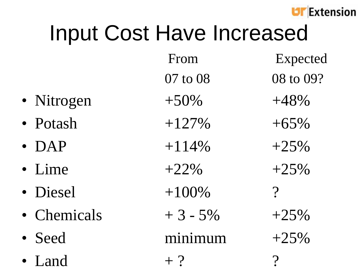

# Input Cost Have Increased

- Nitrogen
- 
- 
- Lime
- 
- 
- Seed
- 

| <b>IIIPUL CUSLITAVE IIIUI GASGU</b> |           |           |
|-------------------------------------|-----------|-----------|
|                                     | From      | Expected  |
|                                     | 07 to 08  | 08 to 09? |
| • Nitrogen                          | $+50\%$   | $+48%$    |
| • Potash                            | $+127%$   | $+65%$    |
| $\bullet$ DAP                       | $+114%$   | $+25%$    |
| · Lime                              | $+22\%$   | $+25%$    |
| · Diesel                            | $+100%$   | $\gamma$  |
| • Chemicals                         | $+3 - 5%$ | $+25%$    |
| · Seed                              | minimum   | $+25%$    |
| • Land                              | $+$ ?     |           |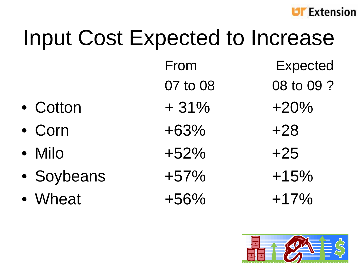

# Input Cost Expected to Increase

- Cotton  $+31\%$
- Corn
- Milo
- Soybeans +57%
- Wheat  $+56\%$   $+17\%$

From  $+31\% +20\%$  $+63\%$   $+28$  $+52\%$   $+25$ 

- xpected
- 07 to 08 08 to 09 ?
	-
	-
	-
	- $+15%$
	-

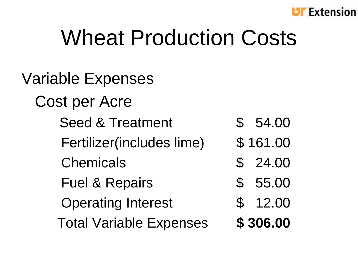

## Wheat Production Costs

Variable Expenses Cost per Acre Seed & Treatment  $$54.00$ Fertilizer(includes lime) \$161.00 Chemicals \$ 24.00 Fuel & Repairs \$ 55.00 Operating Interest  $\qquad$  \$ 12.00 Total Variable Expenses **\$ 306.00**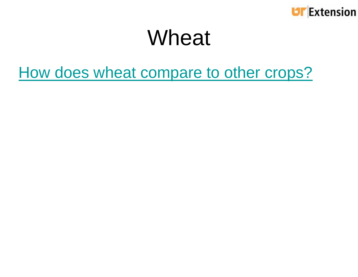

### Wheat

#### How does wheat compare to other crops?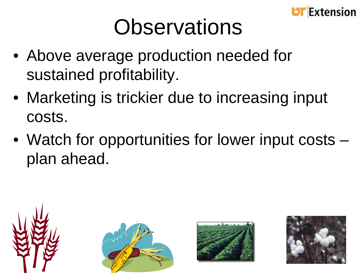

## **Observations**

- Above average production needed for sustained profitability.
- Marketing is trickier due to increasing input costs.
- Watch for opportunities for lower input costs plan ahead.